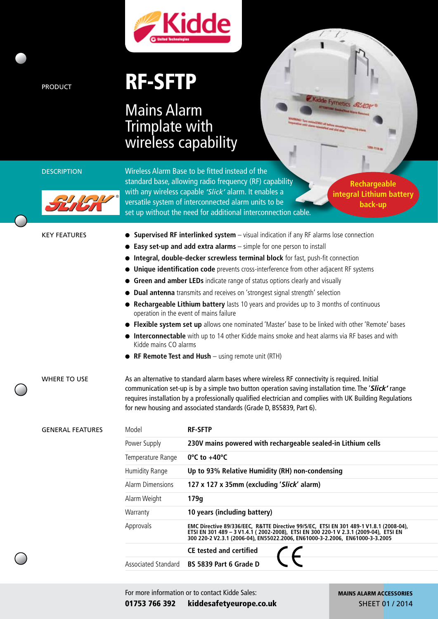

## PRODUCT **RF-SFTP**

## Mains Alarm Trimplate with wireless capability





®

DESCRIPTION Wireless Alarm Base to be fitted instead of the standard base, allowing radio frequency (RF) capability with any wireless capable *'Slick'* alarm. It enables a versatile system of interconnected alarm units to be set up without the need for additional interconnection cable.

**Rechargeable integral Lithium battery back-up**

Kidde Fyrnetics St/C

| <b>KEY FEATURES</b><br><b>WHERE TO USE</b> | • Supervised RF interlinked system - visual indication if any RF alarms lose connection<br><b>Easy set-up and add extra alarms</b> - simple for one person to install<br>• Integral, double-decker screwless terminal block for fast, push-fit connection<br>• Unique identification code prevents cross-interference from other adjacent RF systems<br>• Green and amber LEDs indicate range of status options clearly and visually<br>• Dual antenna transmits and receives on 'strongest signal strength' selection<br>• Rechargeable Lithium battery lasts 10 years and provides up to 3 months of continuous<br>operation in the event of mains failure<br>• Flexible system set up allows one nominated 'Master' base to be linked with other 'Remote' bases<br>• Interconnectable with up to 14 other Kidde mains smoke and heat alarms via RF bases and with<br>Kidde mains CO alarms<br>• RF Remote Test and Hush - using remote unit (RTH)<br>As an alternative to standard alarm bases where wireless RF connectivity is required. Initial |                                                                                                                                                                                                                                                                |  |  |  |
|--------------------------------------------|-------------------------------------------------------------------------------------------------------------------------------------------------------------------------------------------------------------------------------------------------------------------------------------------------------------------------------------------------------------------------------------------------------------------------------------------------------------------------------------------------------------------------------------------------------------------------------------------------------------------------------------------------------------------------------------------------------------------------------------------------------------------------------------------------------------------------------------------------------------------------------------------------------------------------------------------------------------------------------------------------------------------------------------------------------|----------------------------------------------------------------------------------------------------------------------------------------------------------------------------------------------------------------------------------------------------------------|--|--|--|
|                                            | communication set-up is by a simple two button operation saving installation time. The 'Slick' range<br>requires installation by a professionally qualified electrician and complies with UK Building Regulations<br>for new housing and associated standards (Grade D, BS5839, Part 6).                                                                                                                                                                                                                                                                                                                                                                                                                                                                                                                                                                                                                                                                                                                                                              |                                                                                                                                                                                                                                                                |  |  |  |
| <b>GENERAL FEATURES</b>                    | Model<br>Power Supply                                                                                                                                                                                                                                                                                                                                                                                                                                                                                                                                                                                                                                                                                                                                                                                                                                                                                                                                                                                                                                 | <b>RF-SFTP</b><br>230V mains powered with rechargeable sealed-in Lithium cells                                                                                                                                                                                 |  |  |  |
|                                            | Temperature Range                                                                                                                                                                                                                                                                                                                                                                                                                                                                                                                                                                                                                                                                                                                                                                                                                                                                                                                                                                                                                                     | $0^{\circ}$ C to +40 $^{\circ}$ C                                                                                                                                                                                                                              |  |  |  |
|                                            | Humidity Range                                                                                                                                                                                                                                                                                                                                                                                                                                                                                                                                                                                                                                                                                                                                                                                                                                                                                                                                                                                                                                        | Up to 93% Relative Humidity (RH) non-condensing                                                                                                                                                                                                                |  |  |  |
|                                            |                                                                                                                                                                                                                                                                                                                                                                                                                                                                                                                                                                                                                                                                                                                                                                                                                                                                                                                                                                                                                                                       |                                                                                                                                                                                                                                                                |  |  |  |
|                                            | <b>Alarm Dimensions</b>                                                                                                                                                                                                                                                                                                                                                                                                                                                                                                                                                                                                                                                                                                                                                                                                                                                                                                                                                                                                                               | 127 x 127 x 35mm (excluding 'Slick' alarm)                                                                                                                                                                                                                     |  |  |  |
|                                            | Alarm Weight                                                                                                                                                                                                                                                                                                                                                                                                                                                                                                                                                                                                                                                                                                                                                                                                                                                                                                                                                                                                                                          | 179g                                                                                                                                                                                                                                                           |  |  |  |
|                                            | Warranty                                                                                                                                                                                                                                                                                                                                                                                                                                                                                                                                                                                                                                                                                                                                                                                                                                                                                                                                                                                                                                              | 10 years (including battery)                                                                                                                                                                                                                                   |  |  |  |
|                                            | Approvals                                                                                                                                                                                                                                                                                                                                                                                                                                                                                                                                                                                                                                                                                                                                                                                                                                                                                                                                                                                                                                             | EMC Directive 89/336/EEC, R&TTE Directive 99/5/EC, ETSI EN 301 489-1 V1.8.1 (2008-04),<br>ETSI EN 301 489 - 3 V1.4.1 (2002-2008), ETSI EN 300 220-1 V 2.3.1 (2009-04), ETSI EN<br>300 220-2 V2.3.1 (2006-04), EN55022.2006, EN61000-3-2.2006, EN61000-3-3.2005 |  |  |  |
|                                            |                                                                                                                                                                                                                                                                                                                                                                                                                                                                                                                                                                                                                                                                                                                                                                                                                                                                                                                                                                                                                                                       | <b>CE tested and certified</b>                                                                                                                                                                                                                                 |  |  |  |
|                                            | Associated Standard                                                                                                                                                                                                                                                                                                                                                                                                                                                                                                                                                                                                                                                                                                                                                                                                                                                                                                                                                                                                                                   | BS 5839 Part 6 Grade D                                                                                                                                                                                                                                         |  |  |  |
|                                            |                                                                                                                                                                                                                                                                                                                                                                                                                                                                                                                                                                                                                                                                                                                                                                                                                                                                                                                                                                                                                                                       |                                                                                                                                                                                                                                                                |  |  |  |

For more information or to contact Kidde Sales: 01753 766 392 kiddesafetyeurope.co.uk MAINS ALARM ACCESSORIES SHEET 01 / 2014